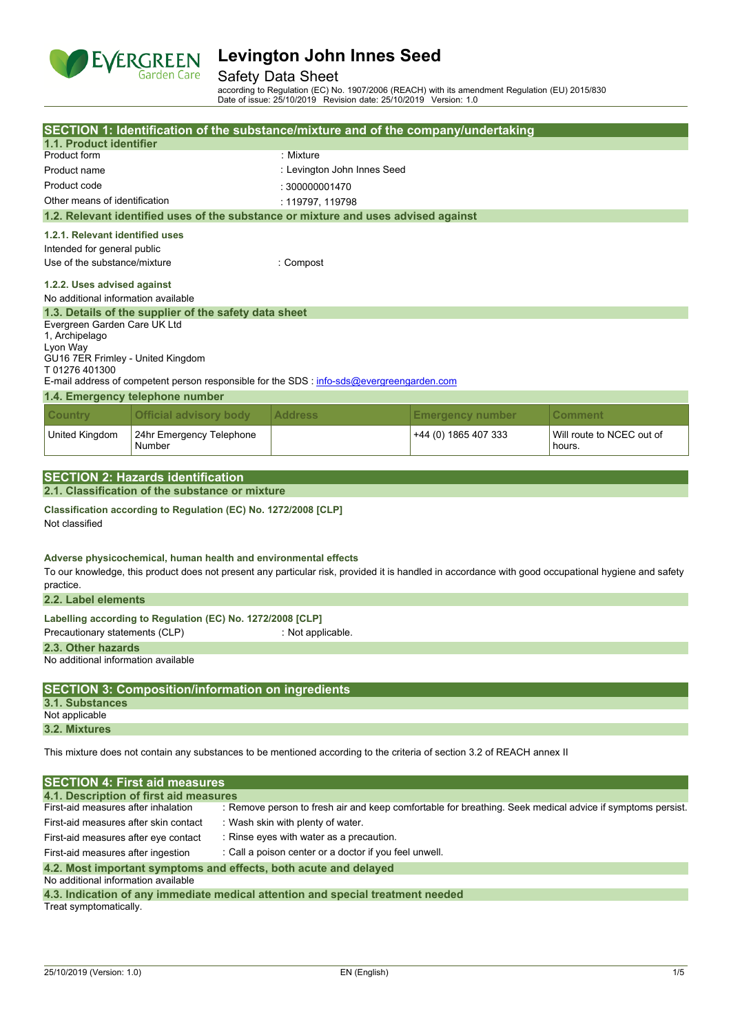

### Safety Data Sheet

according to Regulation (EC) No. 1907/2006 (REACH) with its amendment Regulation (EU) 2015/830 Date of issue: 25/10/2019 Revision date: 25/10/2019 Version: 1.0

|                                                                                                                         | SECTION 1: Identification of the substance/mixture and of the company/undertaking                                                                   |                                                                                                           |                         |                                     |  |  |
|-------------------------------------------------------------------------------------------------------------------------|-----------------------------------------------------------------------------------------------------------------------------------------------------|-----------------------------------------------------------------------------------------------------------|-------------------------|-------------------------------------|--|--|
| 1.1. Product identifier                                                                                                 |                                                                                                                                                     |                                                                                                           |                         |                                     |  |  |
| Product form                                                                                                            |                                                                                                                                                     | : Mixture                                                                                                 |                         |                                     |  |  |
| Product name                                                                                                            |                                                                                                                                                     | : Levington John Innes Seed                                                                               |                         |                                     |  |  |
| Product code                                                                                                            |                                                                                                                                                     | : 300000001470                                                                                            |                         |                                     |  |  |
| Other means of identification                                                                                           |                                                                                                                                                     | : 119797, 119798                                                                                          |                         |                                     |  |  |
|                                                                                                                         | 1.2. Relevant identified uses of the substance or mixture and uses advised against                                                                  |                                                                                                           |                         |                                     |  |  |
| 1.2.1. Relevant identified uses                                                                                         |                                                                                                                                                     |                                                                                                           |                         |                                     |  |  |
| Intended for general public                                                                                             |                                                                                                                                                     |                                                                                                           |                         |                                     |  |  |
| Use of the substance/mixture                                                                                            |                                                                                                                                                     | : Compost                                                                                                 |                         |                                     |  |  |
| 1.2.2. Uses advised against<br>No additional information available                                                      |                                                                                                                                                     |                                                                                                           |                         |                                     |  |  |
|                                                                                                                         | 1.3. Details of the supplier of the safety data sheet                                                                                               |                                                                                                           |                         |                                     |  |  |
| Evergreen Garden Care UK Ltd<br>1, Archipelago<br>Lyon Way<br>GU16 7ER Frimley - United Kingdom<br>T 01276 401300       |                                                                                                                                                     |                                                                                                           |                         |                                     |  |  |
|                                                                                                                         | E-mail address of competent person responsible for the SDS : info-sds@evergreengarden.com                                                           |                                                                                                           |                         |                                     |  |  |
|                                                                                                                         | 1.4. Emergency telephone number                                                                                                                     |                                                                                                           |                         |                                     |  |  |
| <b>Country</b>                                                                                                          | <b>Official advisory body</b>                                                                                                                       | <b>Address</b>                                                                                            | <b>Emergency number</b> | <b>Comment</b>                      |  |  |
| United Kingdom                                                                                                          | 24hr Emergency Telephone<br>Number                                                                                                                  |                                                                                                           | +44 (0) 1865 407 333    | Will route to NCEC out of<br>hours. |  |  |
|                                                                                                                         |                                                                                                                                                     |                                                                                                           |                         |                                     |  |  |
|                                                                                                                         | <b>SECTION 2: Hazards identification</b>                                                                                                            |                                                                                                           |                         |                                     |  |  |
|                                                                                                                         | 2.1. Classification of the substance or mixture                                                                                                     |                                                                                                           |                         |                                     |  |  |
| Not classified                                                                                                          | Classification according to Regulation (EC) No. 1272/2008 [CLP]<br>Adverse physicochemical, human health and environmental effects                  |                                                                                                           |                         |                                     |  |  |
| practice.                                                                                                               | To our knowledge, this product does not present any particular risk, provided it is handled in accordance with good occupational hygiene and safety |                                                                                                           |                         |                                     |  |  |
| 2.2. Label elements                                                                                                     |                                                                                                                                                     |                                                                                                           |                         |                                     |  |  |
| Precautionary statements (CLP)                                                                                          | Labelling according to Regulation (EC) No. 1272/2008 [CLP]                                                                                          | : Not applicable.                                                                                         |                         |                                     |  |  |
| 2.3. Other hazards<br>No additional information available                                                               |                                                                                                                                                     |                                                                                                           |                         |                                     |  |  |
|                                                                                                                         | <b>SECTION 3: Composition/information on ingredients</b>                                                                                            |                                                                                                           |                         |                                     |  |  |
| 3.1. Substances                                                                                                         |                                                                                                                                                     |                                                                                                           |                         |                                     |  |  |
| Not applicable                                                                                                          |                                                                                                                                                     |                                                                                                           |                         |                                     |  |  |
| 3.2. Mixtures                                                                                                           |                                                                                                                                                     |                                                                                                           |                         |                                     |  |  |
| This mixture does not contain any substances to be mentioned according to the criteria of section 3.2 of REACH annex II |                                                                                                                                                     |                                                                                                           |                         |                                     |  |  |
|                                                                                                                         | <b>SECTION 4: First aid measures</b>                                                                                                                |                                                                                                           |                         |                                     |  |  |
|                                                                                                                         | 4.1. Description of first aid measures                                                                                                              |                                                                                                           |                         |                                     |  |  |
| First-aid measures after inhalation                                                                                     |                                                                                                                                                     | : Remove person to fresh air and keep comfortable for breathing. Seek medical advice if symptoms persist. |                         |                                     |  |  |
|                                                                                                                         | First-aid measures after skin contact<br>: Wash skin with plenty of water.                                                                          |                                                                                                           |                         |                                     |  |  |
| : Rinse eyes with water as a precaution.<br>First-aid measures after eye contact                                        |                                                                                                                                                     |                                                                                                           |                         |                                     |  |  |
| First-aid measures after ingestion                                                                                      |                                                                                                                                                     | : Call a poison center or a doctor if you feel unwell.                                                    |                         |                                     |  |  |
|                                                                                                                         | 4.2. Most important symptoms and effects, both acute and delayed                                                                                    |                                                                                                           |                         |                                     |  |  |

No additional information available

| 4.3. Indication of any immediate medical attention and special treatment needed |  |  |  |
|---------------------------------------------------------------------------------|--|--|--|
| Treat symptomatically.                                                          |  |  |  |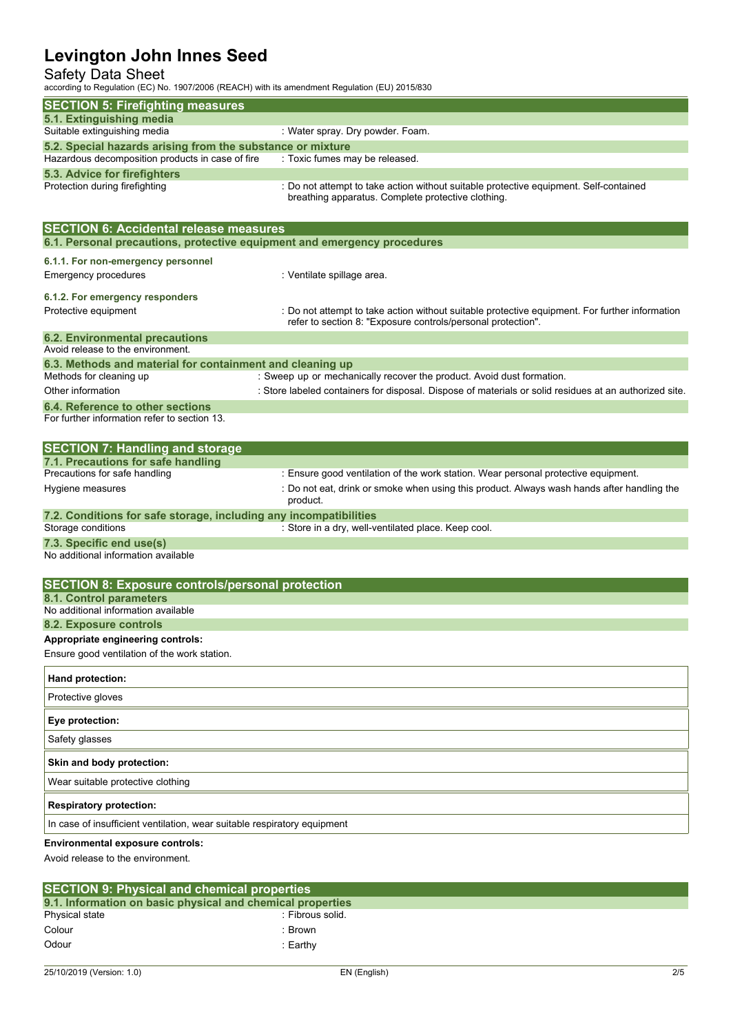## Safety Data Sheet

according to Regulation (EC) No. 1907/2006 (REACH) with its amendment Regulation (EU) 2015/830

| according to regulation (EO) NO. 1907/2000 (NEAOH) With its amendment regulation (EO) 2019/000 |                                                                                                                                                                |
|------------------------------------------------------------------------------------------------|----------------------------------------------------------------------------------------------------------------------------------------------------------------|
| <b>SECTION 5: Firefighting measures</b>                                                        |                                                                                                                                                                |
| 5.1. Extinguishing media<br>Suitable extinguishing media                                       | : Water spray. Dry powder. Foam.                                                                                                                               |
| 5.2. Special hazards arising from the substance or mixture                                     |                                                                                                                                                                |
| Hazardous decomposition products in case of fire                                               | : Toxic fumes may be released.                                                                                                                                 |
| 5.3. Advice for firefighters                                                                   |                                                                                                                                                                |
| Protection during firefighting                                                                 | : Do not attempt to take action without suitable protective equipment. Self-contained<br>breathing apparatus. Complete protective clothing.                    |
| <b>SECTION 6: Accidental release measures</b>                                                  |                                                                                                                                                                |
| 6.1. Personal precautions, protective equipment and emergency procedures                       |                                                                                                                                                                |
| 6.1.1. For non-emergency personnel                                                             |                                                                                                                                                                |
| <b>Emergency procedures</b>                                                                    | : Ventilate spillage area.                                                                                                                                     |
| 6.1.2. For emergency responders                                                                |                                                                                                                                                                |
| Protective equipment                                                                           | : Do not attempt to take action without suitable protective equipment. For further information<br>refer to section 8: "Exposure controls/personal protection". |
| <b>6.2. Environmental precautions</b>                                                          |                                                                                                                                                                |
| Avoid release to the environment.<br>6.3. Methods and material for containment and cleaning up |                                                                                                                                                                |
| Methods for cleaning up                                                                        | : Sweep up or mechanically recover the product. Avoid dust formation.                                                                                          |
| Other information                                                                              | : Store labeled containers for disposal. Dispose of materials or solid residues at an authorized site.                                                         |
| 6.4. Reference to other sections<br>For further information refer to section 13.               |                                                                                                                                                                |
| <b>SECTION 7: Handling and storage</b>                                                         |                                                                                                                                                                |
| 7.1. Precautions for safe handling                                                             |                                                                                                                                                                |
| Precautions for safe handling                                                                  | : Ensure good ventilation of the work station. Wear personal protective equipment.                                                                             |
| Hygiene measures                                                                               | : Do not eat, drink or smoke when using this product. Always wash hands after handling the<br>product.                                                         |
| 7.2. Conditions for safe storage, including any incompatibilities                              |                                                                                                                                                                |
| Storage conditions                                                                             | : Store in a dry, well-ventilated place. Keep cool.                                                                                                            |
| 7.3. Specific end use(s)<br>No additional information available                                |                                                                                                                                                                |
| <b>SECTION 8: Exposure controls/personal protection</b>                                        |                                                                                                                                                                |
| 8.1. Control parameters                                                                        |                                                                                                                                                                |
| No additional information available                                                            |                                                                                                                                                                |
| 8.2. Exposure controls<br>Appropriate engineering controls:                                    |                                                                                                                                                                |
| Ensure good ventilation of the work station.                                                   |                                                                                                                                                                |
| Hand protection:                                                                               |                                                                                                                                                                |
| Protective gloves                                                                              |                                                                                                                                                                |
| Eye protection:                                                                                |                                                                                                                                                                |
| Safety glasses                                                                                 |                                                                                                                                                                |
| Skin and body protection:                                                                      |                                                                                                                                                                |
| Wear suitable protective clothing                                                              |                                                                                                                                                                |
| <b>Respiratory protection:</b>                                                                 |                                                                                                                                                                |
| In case of insufficient ventilation, wear suitable respiratory equipment                       |                                                                                                                                                                |
| <b>Environmental exposure controls:</b><br>Avoid release to the environment.                   |                                                                                                                                                                |

| <b>SECTION 9: Physical and chemical properties</b>         |  |  |  |  |
|------------------------------------------------------------|--|--|--|--|
| 9.1. Information on basic physical and chemical properties |  |  |  |  |
| : Fibrous solid.                                           |  |  |  |  |
| :Brown                                                     |  |  |  |  |
| :Earthv                                                    |  |  |  |  |
|                                                            |  |  |  |  |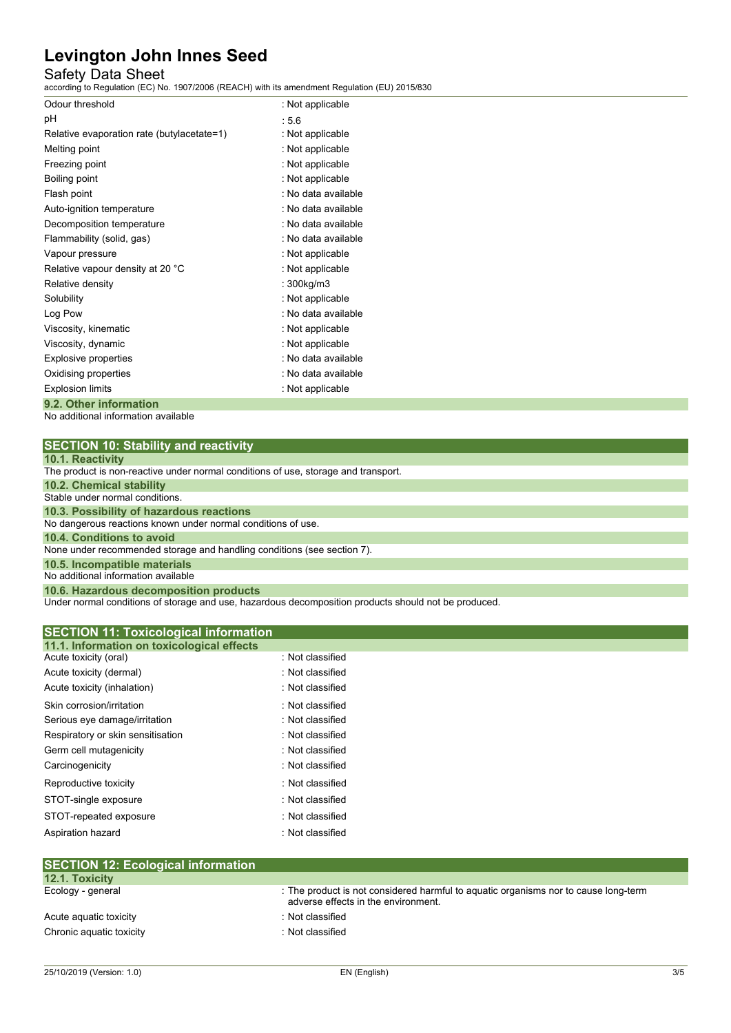## Safety Data Sheet

according to Regulation (EC) No. 1907/2006 (REACH) with its amendment Regulation (EU) 2015/830

| Odour threshold                            | : Not applicable    |
|--------------------------------------------|---------------------|
| рH                                         | :5.6                |
| Relative evaporation rate (butylacetate=1) | : Not applicable    |
| Melting point                              | : Not applicable    |
| Freezing point                             | : Not applicable    |
| Boiling point                              | : Not applicable    |
| Flash point                                | : No data available |
| Auto-ignition temperature                  | : No data available |
| Decomposition temperature                  | : No data available |
| Flammability (solid, gas)                  | : No data available |
| Vapour pressure                            | : Not applicable    |
| Relative vapour density at 20 °C           | : Not applicable    |
| Relative density                           | : 300kg/m3          |
| Solubility                                 | : Not applicable    |
| Log Pow                                    | : No data available |
| Viscosity, kinematic                       | : Not applicable    |
| Viscosity, dynamic                         | : Not applicable    |
| Explosive properties                       | : No data available |
| Oxidising properties                       | : No data available |
| <b>Explosion limits</b>                    | : Not applicable    |
| 9.2. Other information                     |                     |

No additional information available

|  | <b>SECTION 10: Stability and reactivity</b> |
|--|---------------------------------------------|
|--|---------------------------------------------|

|  |  | 10.1. Reactivity |  |
|--|--|------------------|--|
|  |  |                  |  |

Under normal conditions of storage and use, hazardous decomposition products should not be produced.

| 11.1. Information on toxicological effects |                  |  |
|--------------------------------------------|------------------|--|
| Acute toxicity (oral)                      | : Not classified |  |
| Acute toxicity (dermal)                    | : Not classified |  |
| Acute toxicity (inhalation)                | : Not classified |  |
| Skin corrosion/irritation                  | : Not classified |  |
| Serious eye damage/irritation              | : Not classified |  |
| Respiratory or skin sensitisation          | : Not classified |  |
| Germ cell mutagenicity                     | : Not classified |  |
| Carcinogenicity                            | : Not classified |  |
| Reproductive toxicity                      | : Not classified |  |
| STOT-single exposure                       | : Not classified |  |
| STOT-repeated exposure                     | : Not classified |  |
| Aspiration hazard                          | : Not classified |  |

| SEUTION 12: ECOlOGICAL INTORMATION |                                                                                                                            |
|------------------------------------|----------------------------------------------------------------------------------------------------------------------------|
| 12.1. Toxicity                     |                                                                                                                            |
| Ecology - general                  | : The product is not considered harmful to aquatic organisms nor to cause long-term<br>adverse effects in the environment. |
| Acute aguatic toxicity             | : Not classified                                                                                                           |
| Chronic aquatic toxicity           | : Not classified                                                                                                           |
|                                    |                                                                                                                            |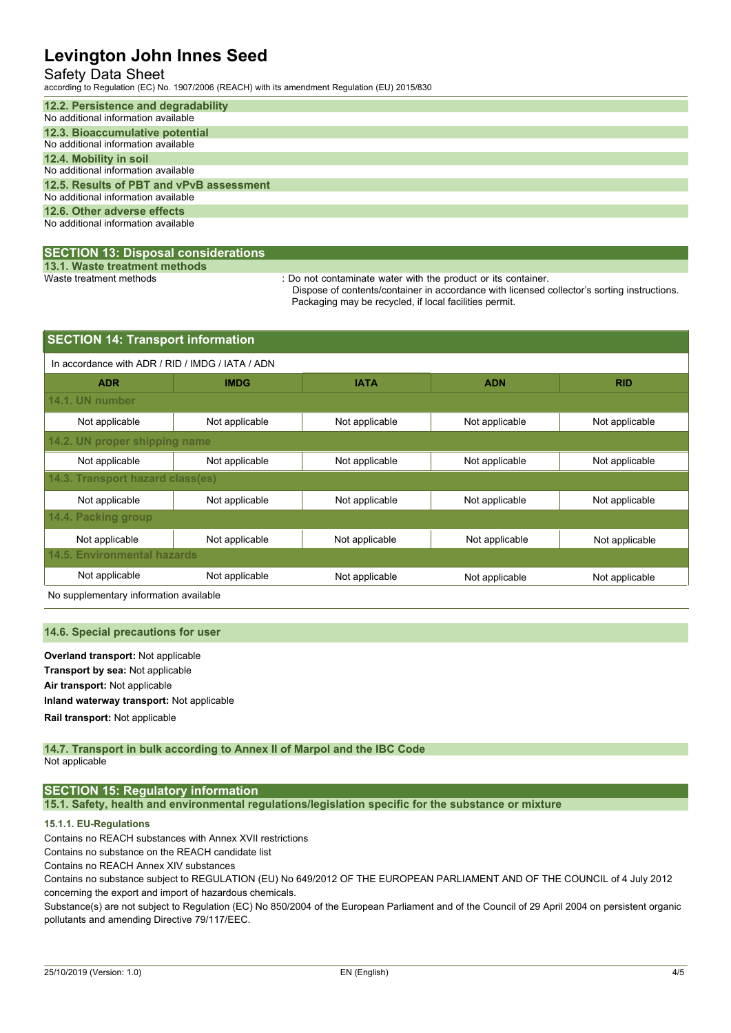## Safety Data Sheet

according to Regulation (EC) No. 1907/2006 (REACH) with its amendment Regulation (EU) 2015/830

| 12.2. Persistence and degradability      |
|------------------------------------------|
| No additional information available      |
| 12.3. Bioaccumulative potential          |
| No additional information available      |
| 12.4. Mobility in soil                   |
| No additional information available      |
| 12.5. Results of PBT and vPvB assessment |
| No additional information available      |
| 12.6. Other adverse effects              |
| No additional information available      |
|                                          |

### **SECTION 13: Disposal considerations**

**13.1. Waste treatment methods**

: Do not contaminate water with the product or its container.

Dispose of contents/container in accordance with licensed collector's sorting instructions. Packaging may be recycled, if local facilities permit.

| <b>SECTION 14: Transport information</b>         |                                  |                |                |                |  |  |  |
|--------------------------------------------------|----------------------------------|----------------|----------------|----------------|--|--|--|
| In accordance with ADR / RID / IMDG / IATA / ADN |                                  |                |                |                |  |  |  |
| <b>ADR</b>                                       | <b>IMDG</b>                      | <b>IATA</b>    | <b>ADN</b>     | <b>RID</b>     |  |  |  |
| 14.1. UN number                                  |                                  |                |                |                |  |  |  |
| Not applicable                                   | Not applicable                   | Not applicable | Not applicable | Not applicable |  |  |  |
|                                                  | 14.2. UN proper shipping name    |                |                |                |  |  |  |
| Not applicable                                   | Not applicable                   | Not applicable | Not applicable | Not applicable |  |  |  |
|                                                  | 14.3. Transport hazard class(es) |                |                |                |  |  |  |
| Not applicable                                   | Not applicable                   | Not applicable | Not applicable | Not applicable |  |  |  |
| 14.4. Packing group                              |                                  |                |                |                |  |  |  |
| Not applicable                                   | Not applicable                   | Not applicable | Not applicable | Not applicable |  |  |  |
| 14.5. Environmental hazards                      |                                  |                |                |                |  |  |  |
| Not applicable                                   | Not applicable                   | Not applicable | Not applicable | Not applicable |  |  |  |
|                                                  |                                  |                |                |                |  |  |  |

No supplementary information available

### **14.6. Special precautions for user**

**Overland transport:** Not applicable **Transport by sea:** Not applicable **Air transport:** Not applicable **Inland waterway transport:** Not applicable **Rail.transport:** Not applicable

#### **14.7. Transport in bulk according to Annex II of Marpol and the IBC Code** Not applicable

## **SECTION 15: Regulatory information**

**15.1. Safety, health and environmental regulations/legislation specific for the substance or mixture**

## **15.1.1. EU-Regulations**

Contains no REACH substances with Annex XVII restrictions

Contains no substance on the REACH candidate list

Contains no REACH Annex XIV substances

Contains no substance subject to REGULATION (EU) No 649/2012 OF THE EUROPEAN PARLIAMENT AND OF THE COUNCIL of 4 July 2012 concerning the export and import of hazardous chemicals.

Substance(s) are not subject to Regulation (EC) No 850/2004 of the European Parliament and of the Council of 29 April 2004 on persistent organic pollutants and amending Directive 79/117/EEC.